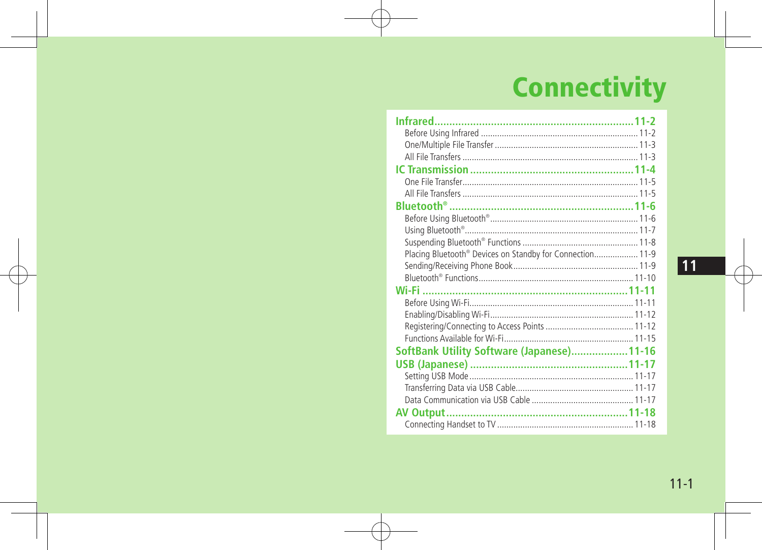## **Connectivity**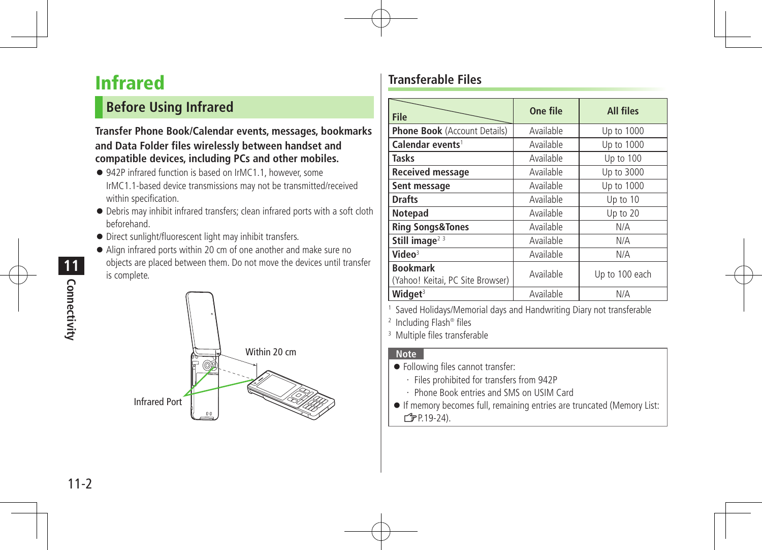## Infrared

#### **Before Using Infrared**

#### **Transfer Phone Book/Calendar events, messages, bookmarks and Data Folder files wirelessly between handset and compatible devices, including PCs and other mobiles.**

- 942P infrared function is based on IrMC1.1, however, some IrMC1.1-based device transmissions may not be transmitted/received within specification.
- Debris may inhibit infrared transfers; clean infrared ports with a soft cloth beforehand.
- Direct sunlight/fluorescent light may inhibit transfers.
- Align infrared ports within 20 cm of one another and make sure no objects are placed between them. Do not move the devices until transfer is complete.



#### **Transferable Files**

| <b>File</b>                                         | One file  | <b>All files</b> |
|-----------------------------------------------------|-----------|------------------|
|                                                     |           |                  |
| <b>Phone Book</b> (Account Details)                 | Available | Up to 1000       |
| Calendar events <sup>1</sup>                        | Available | Up to 1000       |
| <b>Tasks</b>                                        | Available | Up to 100        |
| <b>Received message</b>                             | Available | Up to 3000       |
| Sent message                                        | Available | Up to 1000       |
| <b>Drafts</b>                                       | Available | Up to 10         |
| <b>Notepad</b>                                      | Available | Up to 20         |
| <b>Ring Songs&amp;Tones</b>                         | Available | N/A              |
| Still image <sup>23</sup>                           | Available | N/A              |
| Video $3$                                           | Available | N/A              |
| <b>Bookmark</b><br>(Yahoo! Keitai, PC Site Browser) | Available | Up to 100 each   |
| Widget $3$                                          | Available | N/A              |

1 Saved Holidays/Memorial days and Handwriting Diary not transferable

2 Including Flash® files

3 Multiple files transferable

#### **Note**

- Following files cannot transfer:
	- ・ Files prohibited for transfers from 942P
	- ・ Phone Book entries and SMS on USIM Card
- If memory becomes full, remaining entries are truncated (Memory List:  $\sqrt{7}P.19-24$ ).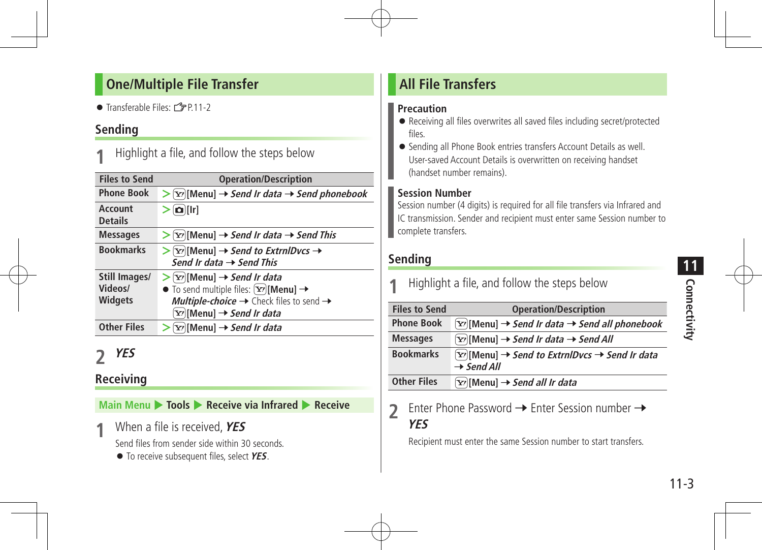#### **One/Multiple File Transfer**

 $\bullet$  Transferable Files:  $\mathbb{Z}$ P.11-2

#### **Sending**

Highlight a file, and follow the steps below

| <b>Files to Send</b>                       | <b>Operation/Description</b>                                                                                                                                                                                          |
|--------------------------------------------|-----------------------------------------------------------------------------------------------------------------------------------------------------------------------------------------------------------------------|
| <b>Phone Book</b>                          | $[\mathbf{x}]$ [Menu] $\rightarrow$ Send Ir data $\rightarrow$ Send phonebook                                                                                                                                         |
| <b>Account</b><br><b>Details</b>           | $\left[\mathbf{\Omega}\right]$ [Ir]                                                                                                                                                                                   |
| <b>Messages</b>                            | $\triangleright$ [Y'] [Menu] $\rightarrow$ Send Ir data $\rightarrow$ Send This                                                                                                                                       |
| <b>Bookmarks</b>                           | $\triangleright$ [Y'][Menu] $\rightarrow$ Send to ExtrnlDvcs $\rightarrow$<br>Send Ir data $\rightarrow$ Send This                                                                                                    |
| Still Images/<br>Videos/<br><b>Widgets</b> | $\triangleright$ [Y'] [Menu] $\rightarrow$ Send Ir data<br>$\bullet$ To send multiple files: $\boxed{\mathbf{x}}$ [Menu] $\rightarrow$<br>Multiple-choice → Check files to send →<br>∑?)[Menu] → S <i>end Ir data</i> |
| <b>Other Files</b>                         | $[\mathbf{x}$ [Menu] $\rightarrow$ Send Ir data                                                                                                                                                                       |

## **2 YES**

#### **Receiving**

**Main Menu** 4 **Tools** 4 **Receive via Infrared** 4 **Receive**

**1 When a file is received, YES** 

Send files from sender side within 30 seconds.

To receive subsequent files, select **YES**.

#### **All File Transfers**

#### **Precaution**

- Receiving all files overwrites all saved files including secret/protected files.
- Sending all Phone Book entries transfers Account Details as well. User-saved Account Details is overwritten on receiving handset (handset number remains).

#### **Session Number**

Session number (4 digits) is required for all file transfers via Infrared and IC transmission. Sender and recipient must enter same Session number to complete transfers.

#### **Sending**

| Highlight a file, and follow the steps below |                                                                                                             |  |
|----------------------------------------------|-------------------------------------------------------------------------------------------------------------|--|
| <b>Files to Send</b>                         | <b>Operation/Description</b>                                                                                |  |
| <b>Phone Book</b>                            | $[\mathbf{x}_r][\text{Menu}] \rightarrow \text{Send}$ Ir data $\rightarrow$ Send all phonebook              |  |
| <b>Messages</b>                              | $[\mathbf{x}]$ [Menu] $\rightarrow$ Send Ir data $\rightarrow$ Send All                                     |  |
| <b>Bookmarks</b>                             | $[\mathbf{x}$ ][Menu] $\rightarrow$ Send to ExtrnlDvcs $\rightarrow$ Send Ir data<br>$\rightarrow$ Send All |  |
| <b>Other Files</b>                           | $[\mathbf{x}_i]$ [Menu] $\rightarrow$ Send all Ir data                                                      |  |

2 Enter Phone Password  $\rightarrow$  Enter Session number  $\rightarrow$ **YES**

Recipient must enter the same Session number to start transfers.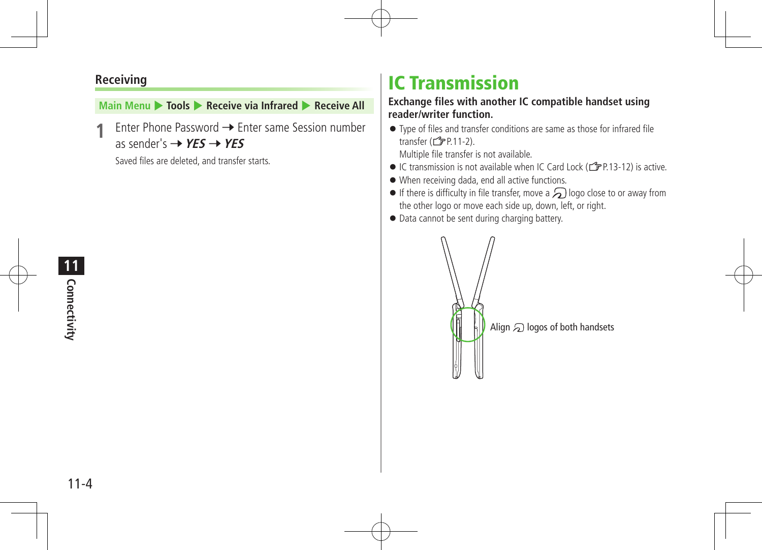#### **Receiving**

#### **Main Menu > Tools > Receive via Infrared > Receive All**

**Enter Phone Password → Enter same Session number** as sender's  $\rightarrow$  **YES**  $\rightarrow$  **YES** 

Saved files are deleted, and transfer starts.

## IC Transmission

#### **Exchange files with another IC compatible handset using reader/writer function.**

 Type of files and transfer conditions are same as those for infrared file transfer  $(\mathbf{F} \mathbf{P}.11-2)$ .

Multiple file transfer is not available.

- $\bullet$  IC transmission is not available when IC Card Lock ( $\leq$ P.13-12) is active.
- When receiving dada, end all active functions.
- $\bullet$  If there is difficulty in file transfer, move a  $\bigodot$  logo close to or away from the other logo or move each side up, down, left, or right.
- $\bullet$  Data cannot be sent during charging battery.



**11** Connectivity **Connectivity**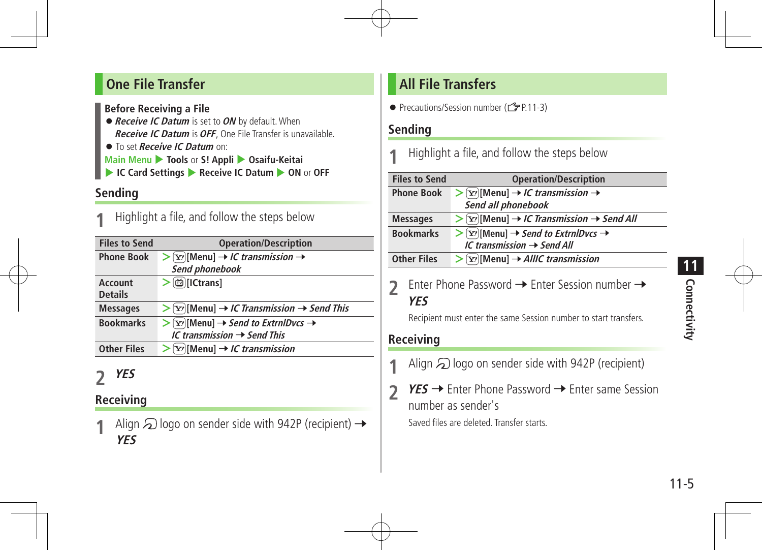#### **One File Transfer**

**Before Receiving a File**

- **Receive IC Datum** is set to**ON** by default.When **Receive IC Datum** is**OFF**, One File Transfer is unavailable.
- To set **Receive IC Datum** on:
- **Main Menu** 4 **Tools** or **S! Appli** 4 **Osaifu-Keitai**
- ▶ IC Card Settings ▶ Receive IC Datum ▶ ON or OFF

#### **Sending**

Highlight a file, and follow the steps below

| <b>Files to Send</b>      | <b>Operation/Description</b>                                                                                           |
|---------------------------|------------------------------------------------------------------------------------------------------------------------|
| <b>Phone Book</b>         | $\triangleright$ [Y'] [Menu] $\rightarrow$ <i>IC transmission</i> $\rightarrow$<br>Send phonebook                      |
| Account<br><b>Details</b> | > dictrans                                                                                                             |
| <b>Messages</b>           | $>$ [Y'] [Menu] $\rightarrow$ <i>IC Transmission</i> $\rightarrow$ <i>Send This</i>                                    |
| <b>Bookmarks</b>          | $\triangleright$ [Y'] [Menu] $\rightarrow$ Send to ExtrnlDvcs $\rightarrow$<br>IC transmission $\rightarrow$ Send This |
| <b>Other Files</b>        | $\triangleright$ [Y'][Menu] $\rightarrow$ <i>IC transmission</i>                                                       |

## **2 YES**

## **Receiving**

Align  $\Omega$  logo on sender side with 942P (recipient)  $\rightarrow$ **YES**

### **All File Transfers**

● Precautions/Session number (19P.11-3)

#### **Sending**

Highlight a file, and follow the steps below

| <b>Files to Send</b> | <b>Operation/Description</b>                                                                          |
|----------------------|-------------------------------------------------------------------------------------------------------|
| <b>Phone Book</b>    | $\triangleright$ [Y'] [Menu] $\rightarrow$ <i>IC transmission</i> $\rightarrow$<br>Send all phonebook |
| <b>Messages</b>      | $\triangleright$ [Y] [Menu] $\rightarrow$ <i>IC Transmission</i> $\rightarrow$ <i>Send All</i>        |
| <b>Bookmarks</b>     | $\triangleright$ [Y][Menu] → Send to ExtrnIDvcs →<br>$IC$ transmission $\rightarrow$ Send All         |
| <b>Other Files</b>   | $\triangleright$ [ $\triangleright$ [Menu] $\rightarrow$ AllIC transmission                           |

**2** Enter Phone Password  $\rightarrow$  Enter Session number  $\rightarrow$ **YES**

Recipient must enter the same Session number to start transfers.

#### **Receiving**

- Align  $\odot$  logo on sender side with 942P (recipient)
- **2 YES** → Enter Phone Password → Enter same Session number as sender's Saved files are deleted. Transfer starts.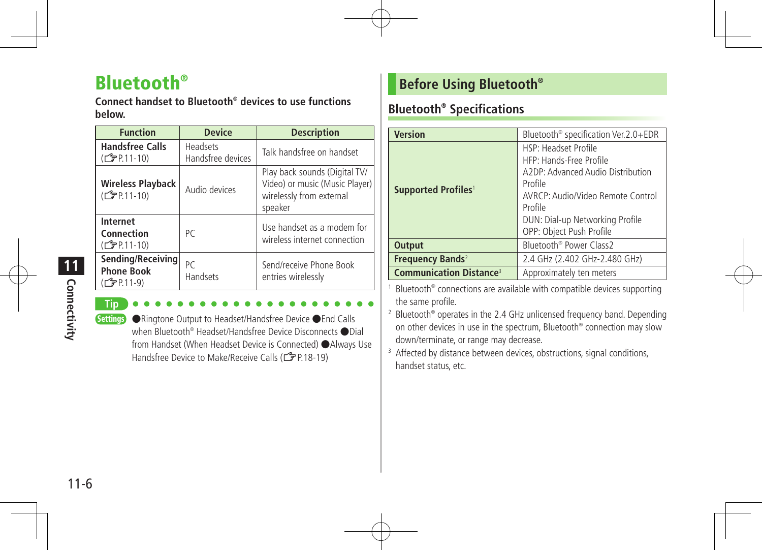## Bluetooth®

**Connect handset to Bluetooth® devices to use functions below.**

| <b>Function</b>                                                    | <b>Device</b>                        | <b>Description</b>                                                                                     |
|--------------------------------------------------------------------|--------------------------------------|--------------------------------------------------------------------------------------------------------|
| <b>Handsfree Calls</b><br>(CJPP.11-10)                             | <b>Headsets</b><br>Handsfree devices | Talk handsfree on handset                                                                              |
| <b>Wireless Playback</b><br>(CTP.11-10)                            | Audio devices                        | Play back sounds (Digital TV/<br>Video) or music (Music Player)<br>wirelessly from external<br>speaker |
| Internet<br>Connection<br>(CTP.11-10)                              | PC                                   | Use handset as a modem for<br>wireless internet connection                                             |
| Sending/Receiving<br><b>Phone Book</b><br>(C <sub>J</sub> PP.11-9) | PC<br><b>Handsets</b>                | Send/receive Phone Book<br>entries wirelessly                                                          |

**Connectivity 11**<br>Connectivity

**Tip**

Settings ●Ringtone Output to Headset/Handsfree Device ●End Calls when Bluetooth® Headset/Handsfree Device Disconnects ●Dial from Handset (When Headset Device is Connected) ●Always Use Handsfree Device to Make/Receive Calls (CPP.18-19)

#### **Before Using Bluetooth®**

#### **Bluetooth® Specifications**

| <b>Version</b>                                                        | Bluetooth <sup>®</sup> specification Ver.2.0+EDR                                                                                                                                                                      |
|-----------------------------------------------------------------------|-----------------------------------------------------------------------------------------------------------------------------------------------------------------------------------------------------------------------|
| Supported Profiles <sup>1</sup>                                       | <b>HSP: Headset Profile</b><br>HFP: Hands-Free Profile<br>A2DP: Advanced Audio Distribution<br>Profile<br>AVRCP: Audio/Video Remote Control<br>Profile<br>DUN: Dial-up Networking Profile<br>OPP: Object Push Profile |
| <b>Output</b>                                                         | Bluetooth <sup>®</sup> Power Class2                                                                                                                                                                                   |
| Frequency Bands <sup>2</sup>                                          | 2.4 GHz (2.402 GHz-2.480 GHz)                                                                                                                                                                                         |
| <b>Communication Distance<sup>3</sup></b><br>Approximately ten meters |                                                                                                                                                                                                                       |

Bluetooth<sup>®</sup> connections are available with compatible devices supporting the same profile.

<sup>2</sup> Bluetooth<sup>®</sup> operates in the 2.4 GHz unlicensed frequency band. Depending on other devices in use in the spectrum, Bluetooth® connection may slow down/terminate, or range may decrease.

<sup>3</sup> Affected by distance between devices, obstructions, signal conditions, handset status, etc.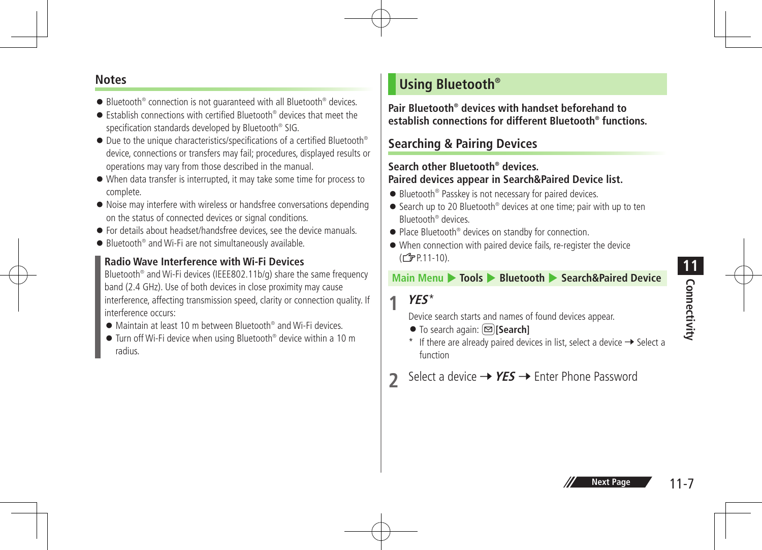# **Connectivity 11**

#### **Notes**

- Bluetooth<sup>®</sup> connection is not quaranteed with all Bluetooth<sup>®</sup> devices.
- Establish connections with certified Bluetooth<sup>®</sup> devices that meet the specification standards developed by Bluetooth® SIG.
- Due to the unique characteristics/specifications of a certified Bluetooth<sup>®</sup> device, connections or transfers may fail; procedures, displayed results or operations may vary from those described in the manual.
- When data transfer is interrupted, it may take some time for process to complete.
- Noise may interfere with wireless or handsfree conversations depending on the status of connected devices or signal conditions.
- **•** For details about headset/handsfree devices, see the device manuals.
- Bluetooth<sup>®</sup> and Wi-Fi are not simultaneously available.

#### **Radio Wave Interference with Wi-Fi Devices**

Bluetooth® and Wi-Fi devices (IEEE802.11b/g) share the same frequency band (2.4 GHz). Use of both devices in close proximity may cause interference, affecting transmission speed, clarity or connection quality. If interference occurs:

- Maintain at least 10 m between Bluetooth<sup>®</sup> and Wi-Fi devices.
- Turn off Wi-Fi device when using Bluetooth® device within a 10 m radius.

#### **Using Bluetooth®**

**Pair Bluetooth® devices with handset beforehand to establish connections for different Bluetooth® functions.**

#### **Searching & Pairing Devices**

#### **Search other Bluetooth® devices. Paired devices appear in Search&Paired Device list.**

- Bluetooth<sup>®</sup> Passkey is not necessary for paired devices.
- Search up to 20 Bluetooth<sup>®</sup> devices at one time; pair with up to ten Bluetooth® devices.
- Place Bluetooth<sup>®</sup> devices on standby for connection.
- When connection with paired device fails, re-register the device (ZP.11-10).

#### **Main Menu** 4 **Tools** 4 **Bluetooth** 4 **Search&Paired Device**

#### **1 YES**\*

Device search starts and names of found devices appear.

- To search again: **[Search]**
- \* If there are already paired devices in list, select a device  $\rightarrow$  Select a function
- Select a device  $\rightarrow$  **YES**  $\rightarrow$  Enter Phone Password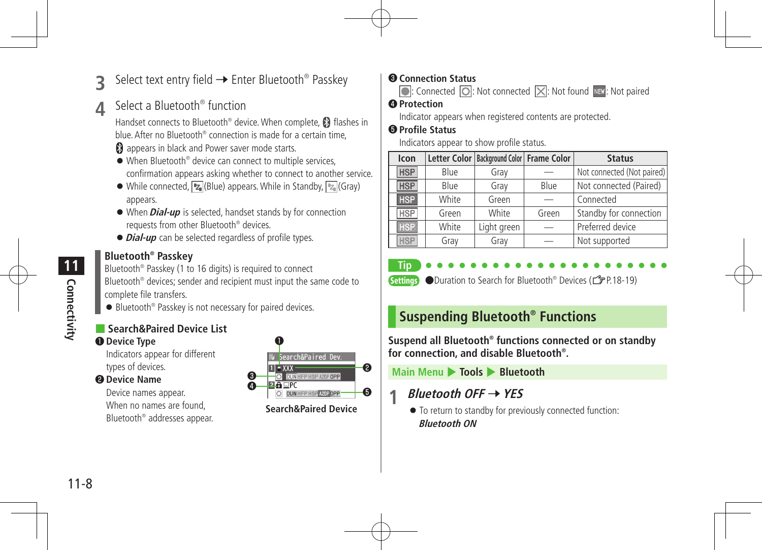Select text entry field → Enter Bluetooth<sup>®</sup> Passkey

#### **4** Select a Bluetooth<sup>®</sup> function

Handset connects to Bluetooth® device. When complete, **8** flashes in blue. After no Bluetooth<sup>®</sup> connection is made for a certain time

- **a** appears in black and Power saver mode starts.
- When Bluetooth<sup>®</sup> device can connect to multiple services. confirmation appears asking whether to connect to another service.
- $\bullet$  While connected,  $\boxed{Z}$  (Blue) appears. While in Standby,  $\boxed{Z}$  (Gray) appears.
- When**Dial-up** is selected, handset stands by for connection requests from other Bluetooth® devices.
- $\bullet$  **Dial-up** can be selected regardless of profile types.

#### **Bluetooth® Passkey**

Bluetooth® Passkey (1 to 16 digits) is required to connect Bluetooth® devices; sender and recipient must input the same code to

complete file transfers. ● Bluetooth<sup>®</sup> Passkey is not necessary for paired devices.

#### ■ **Search&Paired Device List** ❶ **Device Type**

Indicators appear for different types of devices.

#### ❷ **Device Name**

Device names appear. When no names are found, Bluetooth® addresses appear.



#### ❸ **Connection Status**

 $\boxed{\odot}$ : Connected  $\boxed{\odot}$ : Not connected  $\boxed{\times}$ : Not found NEW: Not paired

#### ❹ **Protection**

Indicator appears when registered contents are protected.

#### ❺ **Profile Status**

Indicators appear to show profile status.

| Icon       |       | Letter Color   Background Color   Frame Color |       | <b>Status</b>              |
|------------|-------|-----------------------------------------------|-------|----------------------------|
| <b>HSP</b> | Blue  | Gray                                          |       | Not connected (Not paired) |
| <b>HSP</b> | Blue  | Gray                                          | Blue  | Not connected (Paired)     |
| HSP        | White | Green                                         |       | Connected                  |
| <b>HSP</b> | Green | White                                         | Green | Standby for connection     |
| <b>HSP</b> | White | Light green                                   |       | Preferred device           |
| <b>HSP</b> | Gray  | Gray                                          |       | Not supported              |



**Settings** ●Duration to Search for Bluetooth<sup>®</sup> Devices (<del>△</del>P.18-19)

## **Suspending Bluetooth® Functions**

**Suspend all Bluetooth® functions connected or on standby for connection, and disable Bluetooth® .**

**Main Menu** 4 **Tools** 4 **Bluetooth**

#### **1 Bluetooth OFF** <sup>7</sup>**YES**

 $\bullet$  To return to standby for previously connected function: **Bluetooth ON**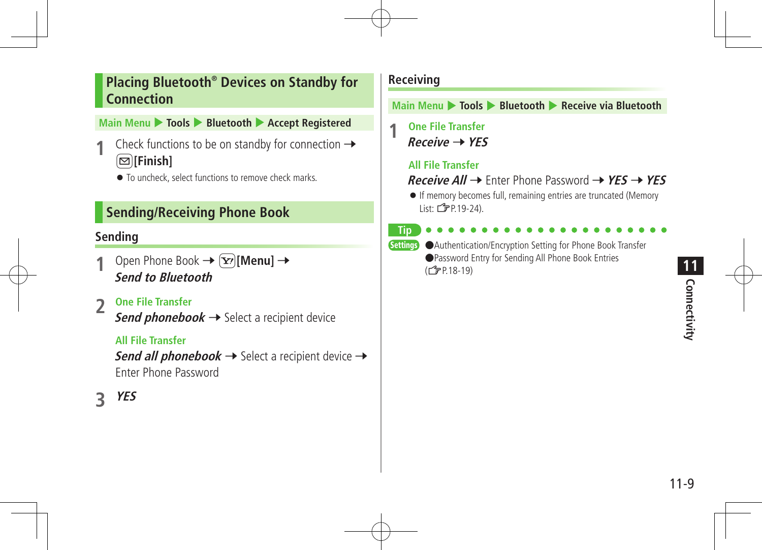#### **Placing Bluetooth® Devices on Standby for Connection**

#### **Main Menu** 4 **Tools** 4 **Bluetooth** 4 **Accept Registered**

- Check functions to be on standby for connection  $\rightarrow$ A**[Finish]**
	- $\bullet$  To uncheck, select functions to remove check marks.

#### **Sending/Receiving Phone Book**

#### **Sending**

- Open Phone Book  $\rightarrow \infty$  [Menu]  $\rightarrow$ **Send to Bluetooth**
- **2 One File Transfer**

**Send phonebook**  $\rightarrow$  Select a recipient device

#### **All File Transfer**

**Send all phonebook**  $\rightarrow$  Select a recipient device  $\rightarrow$ Enter Phone Password

## **3 YES**

#### **Receiving**

**Main Menu** 4 **Tools** 4 **Bluetooth** 4 **Receive via Bluetooth**

**1 One File Transfer Receive** 7**YES**

#### **All File Transfer**

#### **Receive All** → Enter Phone Password → YES → YES

 If memory becomes full, remaining entries are truncated (Memory List:  $24$ .

**Tip**

Settings ●Authentication/Encryption Setting for Phone Book Transfer ●Password Entry for Sending All Phone Book Entries (ZP.18-19)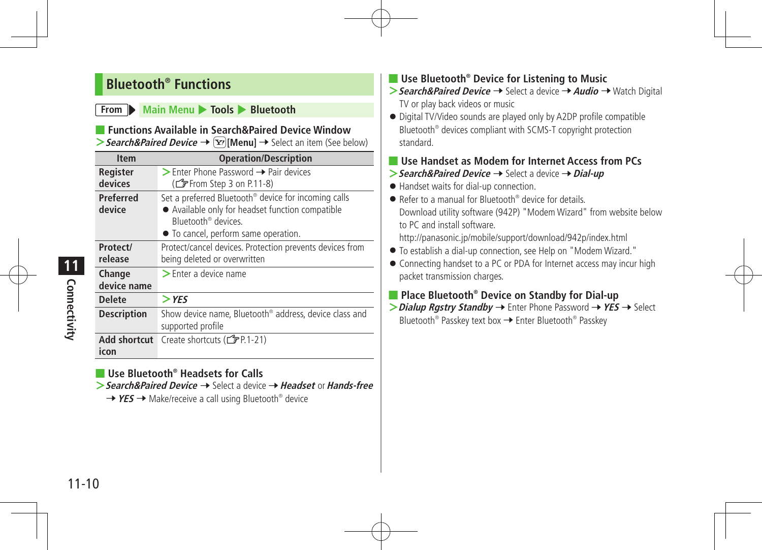#### **Bluetooth® Functions**

#### **From Main Menu + Tools <b>+ Bluetooth**

#### ■ **Functions Available in Search&Paired Device Window**

**>** Search&Paired Device →  $\boxed{\mathbf{Y}}$ [Menu] → Select an item (See below)

| <b>Item</b>        | <b>Operation/Description</b>                                       |
|--------------------|--------------------------------------------------------------------|
| Register           | $\triangleright$ Enter Phone Password $\rightarrow$ Pair devices   |
| devices            | (CF From Step 3 on P.11-8)                                         |
| Preferred          | Set a preferred Bluetooth <sup>®</sup> device for incoming calls   |
| device             | • Available only for headset function compatible                   |
|                    | Bluetooth <sup>®</sup> devices                                     |
|                    | • To cancel, perform same operation.                               |
| Protect/           | Protect/cancel devices. Protection prevents devices from           |
| release            | being deleted or overwritten                                       |
| Change             | $\blacktriangleright$ Enter a device name                          |
| device name        |                                                                    |
| <b>Delete</b>      | $>$ YES                                                            |
| <b>Description</b> | Show device name, Bluetooth <sup>®</sup> address, device class and |
|                    | supported profile                                                  |
| Add shortcut       | Create shortcuts (子P.1-21)                                         |
| icon               |                                                                    |

- Use Bluetooth<sup>®</sup> Headsets for Calls
- **>Search&Paired Device** 7 Select a device 7**Headset** or**Hands-free**
	- → YES → Make/receive a call using Bluetooth<sup>®</sup> device

#### ■ Use Bluetooth® Device for Listening to Music

- > Search&Paired Device → Select a device → Audio → Watch Digital TV or play back videos or music
- Digital TV/Video sounds are played only by A2DP profile compatible Bluetooth® devices compliant with SCMS-T copyright protection standard.

#### ■ Use Handset as Modem for Internet Access from PCs

- **>Search&Paired Device → Select a device → Dial-up**
- Handset waits for dial-up connection.
- Refer to a manual for Bluetooth<sup>®</sup> device for details. Download utility software (942P) "Modem Wizard" from website below to PC and install software. http://panasonic.jp/mobile/support/download/942p/index.html
- To establish a dial-up connection, see Help on "Modem Wizard."
- Connecting handset to a PC or PDA for Internet access may incur high packet transmission charges.

#### ■ **Place Bluetooth<sup>®</sup> Device on Standby for Dial-up**

**>** Dialup Rgstry Standby → Enter Phone Password → YES → Select Bluetooth<sup>®</sup> Passkey text box → Enter Bluetooth<sup>®</sup> Passkey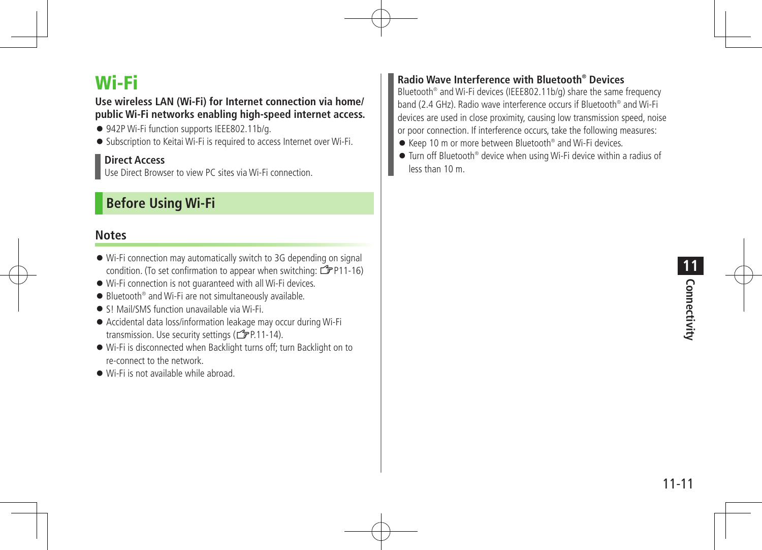## Wi-Fi

#### **Use wireless LAN (Wi-Fi) for Internet connection via home/ public Wi-Fi networks enabling high-speed internet access.**

- 942P Wi-Fi function supports IEEE802.11b/a.
- Subscription to Keitai Wi-Fi is required to access Internet over Wi-Fi.

#### **Direct Access**

Use Direct Browser to view PC sites via Wi-Fi connection.

#### **Before Using Wi-Fi**

#### **Notes**

- Wi-Fi connection may automatically switch to 3G depending on signal condition. (To set confirmation to appear when switching:  $\mathcal{F}$ P11-16)
- Wi-Fi connection is not guaranteed with all Wi-Fi devices.
- Bluetooth<sup>®</sup> and Wi-Fi are not simultaneously available.
- SL Mail/SMS function unavailable via Wi-Fi
- Accidental data loss/information leakage may occur during Wi-Fi transmission. Use security settings ( $\mathbb{Z}$ P.11-14).
- Wi-Fi is disconnected when Backlight turns off; turn Backlight on to re-connect to the network.
- Wi-Fi is not available while abroad.

#### **Radio Wave Interference with Bluetooth® Devices**

Bluetooth® and Wi-Fi devices (IEEE802.11b/g) share the same frequency band (2.4 GHz). Radio wave interference occurs if Bluetooth® and Wi-Fi devices are used in close proximity, causing low transmission speed, noise or poor connection. If interference occurs, take the following measures:

- Keep 10 m or more between Bluetooth<sup>®</sup> and Wi-Fi devices.
- Turn off Bluetooth® device when using Wi-Fi device within a radius of less than 10 m.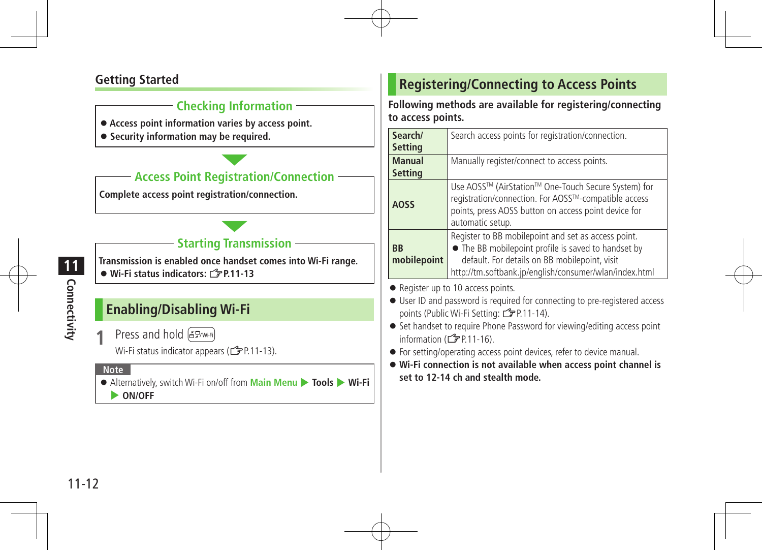#### **Getting Started**

#### **Checking Information**

- **Access point information varies by access point.**
- **Security information may be required.**

#### **Access Point Registration/Connection**

**Complete access point registration/connection.**

#### **Starting Transmission**

**Transmission is enabled once handset comes into Wi-Fi range.** ● Wi-Fi status indicators: *Z*P.11-13

#### **Enabling/Disabling Wi-Fi**

**Press and hold (EP/Wi-Fi)** 

Wi-Fi status indicator appears ( $\mathbb{Z}$ P.11-13).

#### **Note**

- Alternatively, switch Wi-Fi on/off from **Main Menu ▶ Tools ▶ Wi-Fi** 
	- 4 **ON/OFF**

#### **Registering/Connecting to Access Points**

**Following methods are available for registering/connecting to access points.**

| Search/<br><b>Setting</b>       | Search access points for registration/connection.                                                                                                                                                                     |
|---------------------------------|-----------------------------------------------------------------------------------------------------------------------------------------------------------------------------------------------------------------------|
| <b>Manual</b><br><b>Setting</b> | Manually register/connect to access points.                                                                                                                                                                           |
| <b>AOSS</b>                     | Use AOSS™ (AirStation™ One-Touch Secure System) for<br>registration/connection. For AOSS™-compatible access<br>points, press AOSS button on access point device for<br>automatic setup.                               |
| <b>BB</b><br>mobilepoint        | Register to BB mobilepoint and set as access point.<br>• The BB mobilepoint profile is saved to handset by<br>default. For details on BB mobilepoint, visit<br>http://tm.softbank.jp/english/consumer/wlan/index.html |

● Register up to 10 access points.

- User ID and password is required for connecting to pre-registered access points (Public Wi-Fi Setting:  $\mathbb{Z}$ P.11-14).
- Set handset to require Phone Password for viewing/editing access point information  $(\mathbb{Z} P11-16)$ .
- For setting/operating access point devices, refer to device manual.
- **Wi-Fi connection is not available when access point channel is set to 12-14 ch and stealth mode.**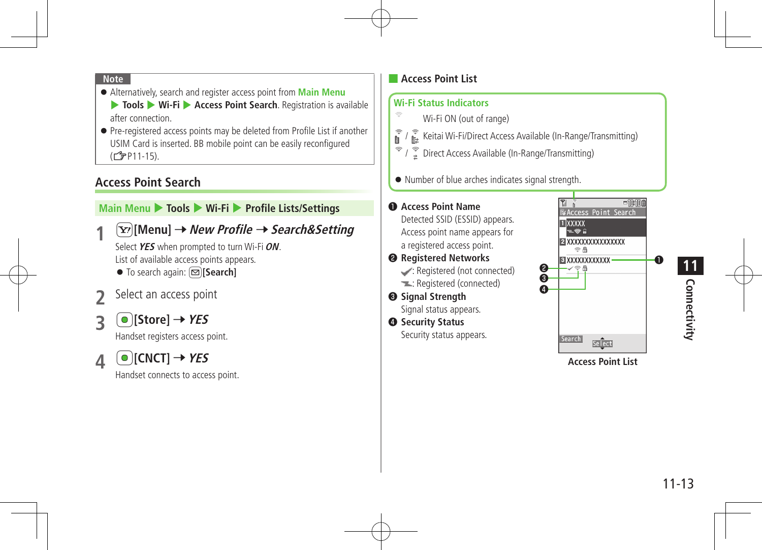- $\bullet$  Alternatively, search and register access point from **Main Menu 1 Tools**  $\triangleright$  **Wi-Fi**  $\triangleright$  **Access Point Search**. Registration is available after connection
- Pre-registered access points may be deleted from Profile List if another USIM Card is inserted. BB mobile point can be easily reconfigured (ZP11-15).

#### **Access Point Search**

#### **Main Menu** 4 **Tools** 4 **Wi-Fi** 4 **Profile Lists/Settings**

**1** <sup>S</sup>**[Menu]** <sup>7</sup>**New Profile** <sup>7</sup>**Search&Setting**

Select YES when prompted to turn Wi-Fi ON. List of available access points appears.

- To search again: **<u><br></u>**
- Select an access point
- $\bullet$  [Store]  $\rightarrow$  *YES*

Handset registers access point.

 $\triangle$  **[CNCT]**  $\rightarrow$  **YES** 

Handset connects to access point.

#### ■ **Access Point List**

#### **Wi-Fi Status Indicators**  $\qquad \qquad \Longleftrightarrow$

- Wi-Fi ON (out of range)
- $\widehat{\mathbb{F}}$ **EXECUTE:** Keitai Wi-Fi/Direct Access Available (In-Range/Transmitting)
- $\widehat{\mathcal{F}}$  /  $\widehat{\mathcal{F}}$  Direct Access Available (In-Range/Transmitting)
- $\bullet$  Number of blue arches indicates signal strength.

### ❶..**Access Point Name**

Detected SSID (ESSID) appears. Access point name appears for a registered access point.

- ❷..**Registered Networks**  $\triangleright$ : Registered (not connected) : Registered (connected)
- **<sup>6</sup>** Signal Strength Signal status appears.
- $Q$  Security Status Security status appears.



**Access Point List**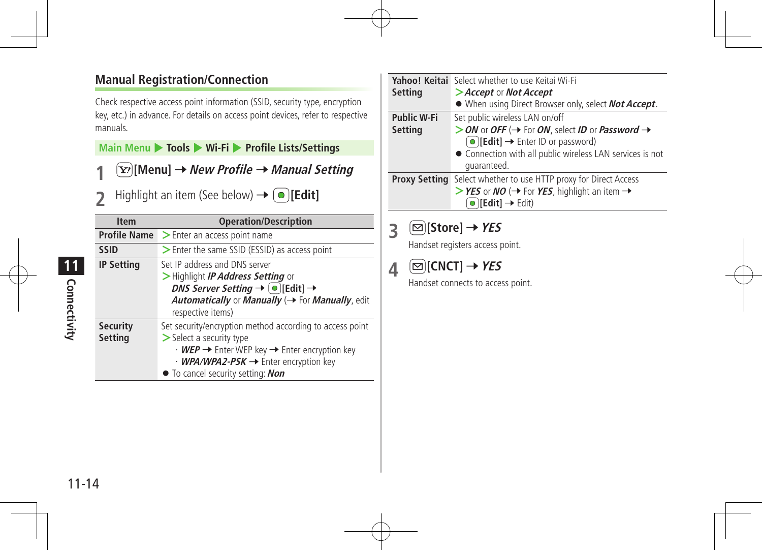#### **Manual Registration/Connection**

Check respective access point information (SSID, security type, encryption key, etc.) in advance. For details on access point devices, refer to respective manuals.

**Main Menu** 4 **Tools** 4 **Wi-Fi** 4 **Profile Lists/Settings**

- **1** <sup>S</sup>**[Menu]** <sup>7</sup>**New Profile** <sup>7</sup>**Manual Setting**
- $\text{Highlight}$  an item (See below)  $\rightarrow \text{[Pdit]}$

| <b>Item</b>                       | <b>Operation/Description</b>                                                                                                                                                                                                                                                 |
|-----------------------------------|------------------------------------------------------------------------------------------------------------------------------------------------------------------------------------------------------------------------------------------------------------------------------|
| <b>Profile Name</b>               | > Enter an access point name                                                                                                                                                                                                                                                 |
| <b>SSID</b>                       | > Enter the same SSID (ESSID) as access point                                                                                                                                                                                                                                |
| <b>IP Setting</b>                 | Set IP address and DNS server<br>>Highlight IP Address Setting or<br><i>DNS Server Setting</i> $\rightarrow$ $\textcircled{\scriptsize{\bullet}}$ [Edit] $\rightarrow$<br><b>Automatically or Manually (<math>\rightarrow</math> For Manually, edit</b><br>respective items) |
| <b>Security</b><br><b>Setting</b> | Set security/encryption method according to access point<br>> Select a security type<br>• WEP → Enter WEP key → Enter encryption key<br>$\cdot$ WPA/WPA2-PSK $\rightarrow$ Enter encryption key<br>• To cancel security setting: Non                                         |

| Setting                       | Yahoo! Keitai Select whether to use Keitai Wi-Fi<br>>Accept or Not Accept<br>• When using Direct Browser only, select <b>Not Accept</b> .                                                                                                         |
|-------------------------------|---------------------------------------------------------------------------------------------------------------------------------------------------------------------------------------------------------------------------------------------------|
| <b>Public W-Fi</b><br>Setting | Set public wireless LAN on/off<br>> ON or OFF ( $\rightarrow$ For ON, select ID or Password $\rightarrow$<br>$\textcircled{[Edit]} \rightarrow$ Enter ID or password)<br>• Connection with all public wireless LAN services is not<br>quaranteed. |
| <b>Proxy Setting</b>          | Select whether to use HTTP proxy for Direct Access<br>> YES or NO ( $\rightarrow$ For YES, highlight an item $\rightarrow$<br>$\bigcirc$ [Edit] $\rightarrow$ Edit)                                                                               |

#### **3**  $\textcircled{S}$  [Store]  $\rightarrow$  YES

Handset registers access point.

## $\triangle$   $\Box$  [CNCT]  $\rightarrow$  *YES*

Handset connects to access point.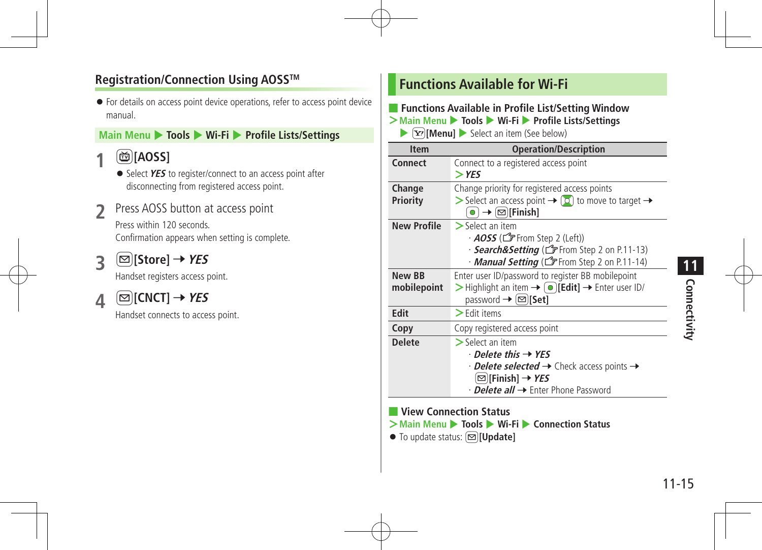#### **Registration/Connection Using AOSSTM**

 For details on access point device operations, refer to access point device manual.

#### **Main Menu** 4 **Tools** 4 **Wi-Fi** 4 **Profile Lists/Settings**

#### **1** <sup>1</sup>**[AOSS]**

- Select YES to register/connect to an access point after disconnecting from registered access point.
- Press AOSS button at access point

Press within 120 seconds. Confirmation appears when setting is complete.

**3**  $\textcircled{S}$  [Store]  $\rightarrow$  YES

Handset registers access point.

 $\Delta$  **ECNCT**]  $\rightarrow$  **YES** 

Handset connects to access point.

#### **Functions Available for Wi-Fi**

#### ■ **Functions Available in Profile List/Setting Window**

**>Main Menu** 4 **Tools** 4 **Wi-Fi** 4 **Profile Lists/Settings**

 $\blacktriangleright$   $\lceil \mathbf{x} \rceil$  **[Menu]**  $\blacktriangleright$  Select an item (See below)



#### ■ **View Connection Status**

- **>Main Menu** 4 **Tools** 4 **Wi-Fi** 4 **Connection Status**
- To update status: **<u><br></u>**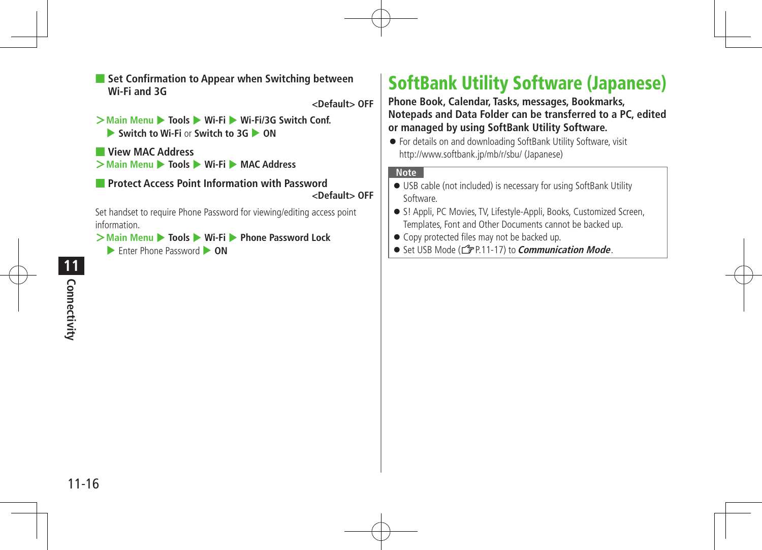■ Set Confirmation to Appear when Switching between **Wi-Fi and 3G**

**<Default> OFF**

- **>Main Menu** 4 **Tools** 4 **Wi-Fi** 4 **Wi-Fi/3G Switch Conf.** ▶ Switch to Wi-Fi or Switch to 3G ▶ ON
- **View MAC Address >Main Menu** 4 **Tools** 4 **Wi-Fi** 4 **MAC Address**

#### ■ **Protect Access Point Information with Password <Default> OFF**

Set handset to require Phone Password for viewing/editing access point information.

**>Main Menu** 4 **Tools** 4 **Wi-Fi** 4 **Phone Password Lock**

**Enter Phone Password <b>CON** 

## SoftBank Utility Software (Japanese)

**Phone Book, Calendar, Tasks, messages, Bookmarks, Notepads and Data Folder can be transferred to a PC, edited or managed by using SoftBank Utility Software.**

 For details on and downloading SoftBank Utility Software, visit http://www.softbank.jp/mb/r/sbu/ (Japanese)

#### **Note**

- USB cable (not included) is necessary for using SoftBank Utility Software.
- S! Appli, PC Movies, TV, Lifestyle-Appli, Books, Customized Screen, Templates, Font and Other Documents cannot be backed up.
- $\bullet$  Copy protected files may not be backed up.
- Set USB Mode (r<sup>2</sup> P.11-17) to *Communication Mode*.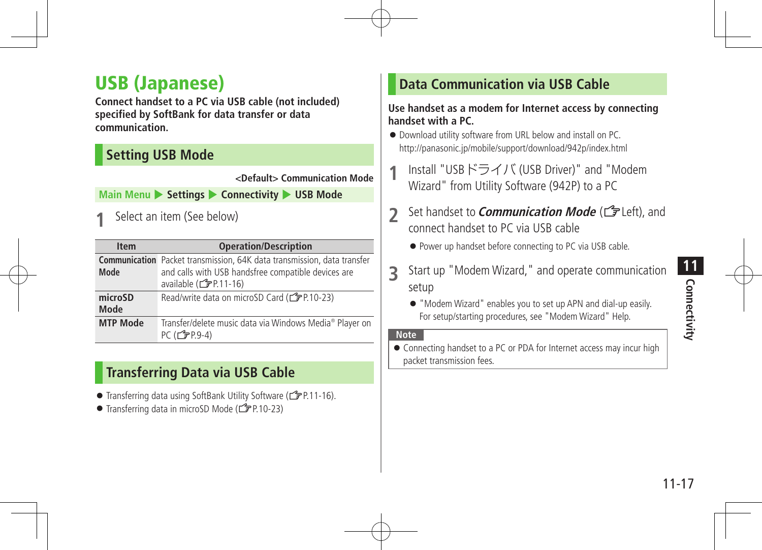## USB (Japanese)

**Connect handset to a PC via USB cable (not included) specified by SoftBank for data transfer or data communication.**

#### **Setting USB Mode**

**<Default> Communication Mode**

**Main Menu > Settings > Connectivity > USB Mode** 

**Select an item (See below)** 

| <b>Item</b>     | <b>Operation/Description</b>                                                                                                                                   |
|-----------------|----------------------------------------------------------------------------------------------------------------------------------------------------------------|
| Mode            | <b>Communication</b> Packet transmission, 64K data transmission, data transfer<br>and calls with USB handsfree compatible devices are<br>available (CFP.11-16) |
| microSD<br>Mode | Read/write data on microSD Card (CPP.10-23)                                                                                                                    |
| <b>MTP Mode</b> | Transfer/delete music data via Windows Media® Player on<br>$PC(\vec{F}P.9-4)$                                                                                  |

#### **Transferring Data via USB Cable**

- Transferring data using SoftBank Utility Software (19 P.11-16).
- Transferring data in microSD Mode (£PP.10-23)

#### **Data Communication via USB Cable**

#### **Use handset as a modem for Internet access by connecting handset with a PC.**

- Download utility software from URL below and install on PC. http://panasonic.jp/mobile/support/download/942p/index.html
- **1** Install "USBドライバ (USB Driver)" and "Modem Wizard" from Utility Software (942P) to a PC
- **2** Set handset to *Communication Mode* (L<sup>2</sup>Left), and connect handset to PC via USB cable
	- Power up handset before connecting to PC via USB cable.
- **3** Start up "Modem Wizard," and operate communication setup

 "Modem Wizard" enables you to set up APN and dial-up easily. For setup/starting procedures, see "Modem Wizard" Help.

#### **Note**

 Connecting handset to a PC or PDA for Internet access may incur high packet transmission fees.